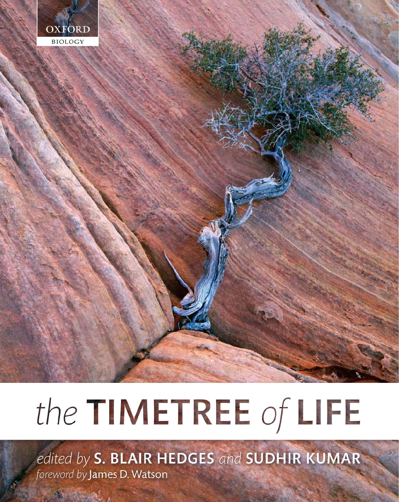

# the TIMETREE of LIFE

edited by S. BLAIR HEDGES and SUDHIR KUMAR foreword by James D. Watson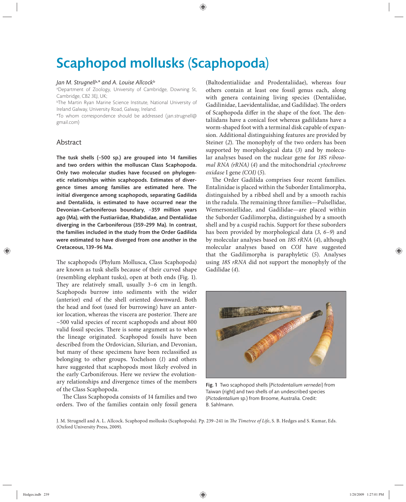# Scaphopod mollusks (Scaphopoda)

#### *Jan M. Strugnell*a,*\* and A. Louise Allcock*<sup>b</sup>

a Department of Zoology, University of Cambridge, Downing St, Cambridge, CB2 3EJ, UK;

b The Martin Ryan Marine Science Institute, National University of Ireland Galway, University Road, Galway, Ireland.

\*To whom correspondence should be addressed (jan.strugnell@ gmail.com)

### Abstract

The tusk shells  $(\sim 500 \text{ sp.})$  are grouped into 14 families and two orders within the molluscan Class Scaphopoda. Only two molecular studies have focused on phylogenetic relationships within scaphopods. Estimates of divergence times among families are estimated here. The initial divergence among scaphopods, separating Gadilida and Dentaliida, is estimated to have occurred near the Devonian–Carboniferous boundary, ~359 million years ago (Ma), with the Fustiariidae, Rhabdidae, and Dentaliidae diverging in the Carboniferous (359-299 Ma). In contrast, the families included in the study from the Order Gadilida were estimated to have diverged from one another in the Cretaceous, 139–96 Ma.

The scaphopods (Phylum Mollusca, Class Scaphopoda) are known as tusk shells because of their curved shape (resembling elephant tusks), open at both ends (Fig. 1). They are relatively small, usually  $3-6$  cm in length. Scaphopods burrow into sediments with the wider (anterior) end of the shell oriented downward. Both the head and foot (used for burrowing) have an anterior location, whereas the viscera are posterior. There are ~500 valid species of recent scaphopods and about 800 valid fossil species. There is some argument as to when the lineage originated. Scaphopod fossils have been described from the Ordovician, Silurian, and Devonian, but many of these specimens have been reclassified as belonging to other groups. Yochelson (*1*) and others have suggested that scaphopods most likely evolved in the early Carboniferous. Here we review the evolutionary relationships and divergence times of the members of the Class Scaphopoda.

The Class Scaphopoda consists of 14 families and two orders. Two of the families contain only fossil genera (Baltodentialiidae and Prodentaliidae), whereas four others contain at least one fossil genus each, along with genera containing living species (Dentaliidae, Gadilinidae, Laevidentaliidae, and Gadilidae). The orders of Scaphopoda differ in the shape of the foot. The dentaliidans have a conical foot whereas gadilidans have a worm-shaped foot with a terminal disk capable of expansion. Additional distinguishing features are provided by Steiner (2). The monophyly of the two orders has been supported by morphological data (*3*) and by molecular analyses based on the nuclear gene for *18S ribosomal RNA (rRNA)* (*4*) and the mitochondrial *cytochrome oxidase* I gene *(COI)* (*5*).

The Order Gadilida comprises four recent families. Entalinidae is placed within the Suborder Entalimorpha, distinguished by a ribbed shell and by a smooth rachis in the radula. The remaining three families—Pulsellidae, Wemersoniellidae, and Gadilidae—are placed within the Suborder Gadilimorpha, distinguished by a smooth shell and by a cuspid rachis. Support for these suborders has been provided by morphological data (*3*, *6*–*9*) and by molecular analyses based on *18S rRNA* (*4*), although molecular analyses based on *COI* have suggested that the Gadilimorpha is paraphyletic (*5*). Analyses using *18S rRNA* did not support the monophyly of the Gadilidae (*4*).



Fig. 1 Two scaphopod shells (*Pictodentalium vernedei*) from Taiwan (right) and two shells of an undescribed species (*Pictodentalium* sp.) from Broome, Australia. Credit: B. Sahlmann.

J. M. Strugnell and A. L. Allcock. Scaphopod mollusks (Scaphopoda). Pp. 239-241 in *The Timetree of Life*, S. B. Hedges and S. Kumar, Eds. (Oxford University Press, 2009).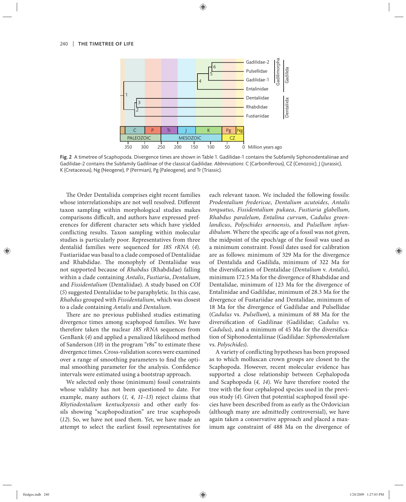

Fig. 2 A timetree of Scaphopoda. Divergence times are shown in Table 1. Gadilidae-1 contains the Subfamily Siphonodentaliinae and Gadilidae-2 contains the Subfamily Gadilinae of the classical Gadilidae. *Abbreviations*: C (Carboniferous), CZ (Cenozoic), J (Jurassic), K (Cretaceous), Ng (Neogene), P (Permian), Pg (Paleogene), and Tr (Triassic).

The Order Dentaliida comprises eight recent families whose interrelationships are not well resolved. Different taxon sampling within morphological studies makes comparisons difficult, and authors have expressed preferences for different character sets which have yielded conflicting results. Taxon sampling within molecular studies is particularly poor. Representatives from three dentaliid families were sequenced for *18S rRNA* (*4*). Fustiariidae was basal to a clade composed of Dentaliidae and Rhabdidae. The monophyly of Dentaliidae was not supported because of *Rhabdus* (Rhabdidae) falling within a clade containing *Antalis*, *Fustiaria*, *Dentalium*, and *Fissidentalium* (Dentaliidae). A study based on *COI* (*5*) suggested Dentaliidae to be paraphyletic. In this case, *Rhabdus* grouped with *Fissidentalium,* which was closest to a clade containing *Antalis* and *Dentalium*.

There are no previous published studies estimating divergence times among scaphopod families. We have therefore taken the nuclear *18S rRNA* sequences from GenBank (*4*) and applied a penalized likelihood method of Sanderson (*10*) in the program "r8s" to estimate these divergence times. Cross-validation scores were examined over a range of smoothing parameters to find the optimal smoothing parameter for the analysis. Confidence intervals were estimated using a bootstrap approach.

We selected only those (minimum) fossil constraints whose validity has not been questioned to date. For example, many authors (*1, 4, 11–13*) reject claims that *Rhytiodentalium kentuckyensis* and other early fossils showing "scaphopodization" are true scaphopods (*12*). So, we have not used them. Yet, we have made an attempt to select the earliest fossil representatives for each relevant taxon. We included the following fossils: *Prodentalium fredericae*, *Dentalium acutoides*, *Antalis torquatus*, *Fissidentalium pukaea*, *Fustiaria glabellum*, *Rhabdus paralelum*, *Entalina curvum*, *Cadulus groenlandicus*, *Polyschides arnoensis*, and *Pulsellum infundibulum*. Where the specific age of a fossil was not given, the midpoint of the epoch/age of the fossil was used as a minimum constraint. Fossil dates used for calibration are as follows: minimum of 329 Ma for the divergence of Dentalida and Gadilida, minimum of 322 Ma for the diversification of Dentalidae (*Dentalium v. Antalis*), minimum 172.5 Ma for the divergence of Rhabdidae and Dentalidae, minimum of 123 Ma for the divergence of Entalinidae and Gadilidae, minimum of 28.3 Ma for the divergence of Fustariidae and Dentalidae, minimum of 18 Ma for the divergence of Gadilidae and Pulsellidae (*Cadulus* vs. *Pulsellum*), a minimum of 88 Ma for the diversification of Gadilinae (Gadilidae; *Cadulus* vs. *Cadulus*), and a minimum of 45 Ma for the diversification of Siphonodentaliinae (Gadilidae: *Siphonodentalum* vs. *Polyschides*).

A variety of conflicting hypotheses has been proposed as to which molluscan crown groups are closest to the Scaphopoda. However, recent molecular evidence has supported a close relationship between Cephalopoda and Scaphopoda (*4, 14*). We have therefore rooted the tree with the four cephalopod species used in the previous study (*4*). Given that potential scaphopod fossil species have been described from as early as the Ordovician (although many are admittedly controversial), we have again taken a conservative approach and placed a maximum age constraint of 488 Ma on the divergence of